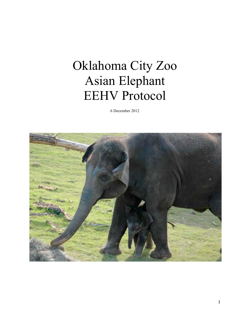## Oklahoma City Zoo Asian Elephant EEHV Protocol

6 December 2012

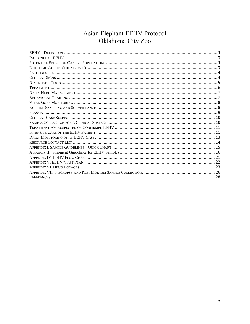# Asian Elephant EEHV Protocol<br>Oklahoma City Zoo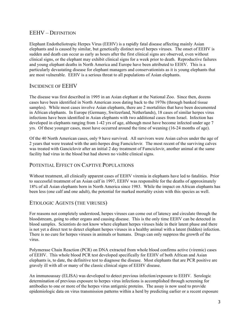## EEHV – DEFINITION

Elephant Endotheliotropic Herpes Virus (EEHV) is a rapidly fatal disease affecting mainly Asian elephants and is caused by similar, but genetically distinct novel herpes viruses. The onset of EEHV is sudden and death can occur as early as hours after the first clinical signs are observed, even without clinical signs, or the elephant may exhibit clinical signs for a week prior to death. Reproductive failures and young elephant deaths in North America and Europe have been attributed to EEHV. This is a particularly devastating disease for elephant managers and conservationists as it is young elephants that are most vulnerable. EEHV is a serious threat to all populations of Asian elephants.

## INCIDENCE OF EEHV

The disease was first described in 1995 in an Asian elephant at the National Zoo. Since then, dozens cases have been identified in North American zoos dating back to the 1970s (through banked tissue samples). While most cases involve Asian elephants, there are 2 mortalities that have been documented in African elephants. In Europe (Germany, Switzerland, Netherlands), 18 cases of similar herpes virus infections have been identified in Asian elephants with two additional cases from Israel. Infection has developed in elephants ranging from 1-42 yrs of age, although most have become infected under age 7 yrs. Of these younger cases, most have occurred around the time of weaning (16-24 months of age).

Of the 40 North American cases, only 9 have survived. All survivors were Asian calves under the age of 2 years that were treated with the anti-herpes drug Famciclovir. The most recent of the surviving calves was treated with Ganciclovir after an initial 2 day treatment of Famciclovir, another animal at the same facility had virus in the blood but had shown no visible clinical signs.

## POTENTIAL EFFECT ON CAPTIVE POPULATIONS

Without treatment, all clinically apparent cases of EEHV viremia in elephants have led to fatalities. Prior to successful treatment of an Asian calf in 1997, EEHV was responsible for the deaths of approximately 18% of all Asian elephants born in North America since 1983. While the impact on African elephants has been less (one calf and one adult), the potential for marked mortality exists with this species as well.

#### ETIOLOGIC AGENTS (THE VIRUSES)

For reasons not completely understood, herpes viruses can come out of latency and circulate through the bloodstream, going to other organs and causing disease. This is the only time EEHV can be detected in blood samples. Scientists do not know where elephant herpes viruses hide in their latent phase and there is not yet a direct test to detect elephant herpes viruses in a healthy animal with a latent (hidden) infection. There is no cure for herpes viruses in animals or humans. Drugs can only suppress the growth of the virus.

Polymerase Chain Reaction (PCR) on DNA extracted from whole blood confirms active (viremic) cases of EEHV. This whole blood PCR test developed specifically for EEHV of both African and Asian elephants is, to date, the definitive test to diagnose the disease. Most elephants that are PCR positive are gravely ill with all or many of the classic clinical signs of EEHV disease.

An immunoassay (ELISA) was developed to detect previous infection/exposure to EEHV. Serologic determination of previous exposure to herpes virus infections is accomplished through screening for antibodies to one or more of the herpes virus antigenic proteins. The assay is now used to provide epidemiologic data on virus transmission patterns within a herd by predicting earlier or a recent exposure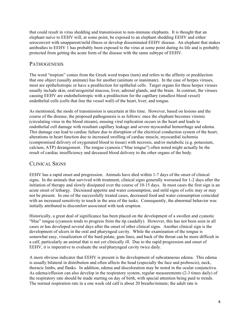that could result in virus shedding and transmission to non-immune elephants. It is thought that an elephant naive to EEHV will, at some point, be exposed to an elephant shedding EEHV and either seroconvert with unapparent/mild illness or develop disseminated EEHV disease. An elephant that makes antibodies to EEHV 1 has probably been exposed to the virus at some point during its life and is probably protected from getting the acute form of the disease with the same subtype of EEHV.

## **PATHOGENESIS**

The word "tropism" comes from the Greek word tropos (turn) and refers to the affinity or predilection that one object (usually animate) has for another (animate or inanimate). In the case of herpes viruses, most are epitheliotropic or have a predilection for epithelial cells. Target organs for these herpes viruses usually include skin, oral/urogenital mucosa, liver, adrenal glands, and the brain. In contrast, the viruses causing EEHV are endotheliotropic with a predilection for the capillary (smallest blood vessel) endothelial cells (cells that line the vessel wall) of the heart, liver, and tongue.

As mentioned, the mode of transmission is uncertain at this time. However, based on lesions and the course of the disease, the proposed pathogenesis is as follows: once the elephant becomes viremic (circulating virus in the blood stream), ensuing viral replication occurs in the heart and leads to endothelial cell damage with resultant capillary leakage and severe myocardial hemorrhage and edema. This damage can lead to cardiac failure due to disruption of the electrical conduction system of the heart, alterations in heart function due to increased swelling of cardiac muscle, myocardial ischemia (compromised delivery of oxygenated blood to tissue) with necrosis, and/or metabolic (e.g. potassium, calcium, ATP) derangement. The tongue cyanosis ("blue tongue") often noted might actually be the result of cardiac insufficiency and deceased blood delivery to the other organs of the body.

## CLINICAL SIGNS

EEHV has a rapid onset and progression. Animals have died within 1-7 days of the onset of clinical signs. In the animals that survived with treatment, clinical signs generally worsened for 1-2 days after the initiation of therapy and slowly dissipated over the course of 10-15 days. In most cases the first sign is an acute onset of lethargy. Decreased appetite and water consumption, and mild signs of colic may or may not be present. In one of the successfully treated cases, decreased food and water consumption coincided with an increased sensitivity to touch in the area of the tusks. Consequently, the abnormal behavior was initially attributed to discomfort associated with tusk eruption.

Historically, a great deal of significance has been placed on the development of a swollen and cyanotic "blue" tongue (cyanosis tends to progress from the tip caudally). However, this has not been seen in all cases or has developed several days after the onset of other clinical signs. Another clinical sign is the development of ulcers in the oral and pharyngeal cavity. While the examination of the tongue is somewhat easy, visualization of the hard palate, gum lines, and back of the throat can be more difficult in a calf, particularly an animal that is not yet clinically ill. Due to the rapid progression and onset of EEHV, it is imperative to evaluate the oral/pharyngeal cavity twice daily.

A more obvious indicator that EEHV is present is the development of subcutaneous edema. This edema is usually bilateral in distribution and often affects the head (especially the face and proboscis), neck, thoracic limbs, and flanks. In addition, edema and discoloration may be noted in the ocular conjunctiva. As edema/effusion can also develop in the respiratory system, regular measurements (2-3 times daily) of the respiratory rate should be made starting on day of birth, with special attention being paid to trends. The normal respiration rate in a one week old calf is about 20 breaths/minute; the adult rate is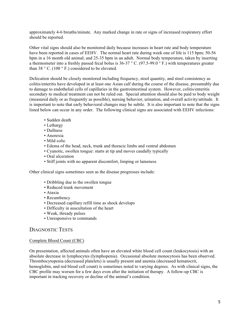approximately 4-6 breaths/minute. Any marked change in rate or signs of increased respiratory effort should be reported.

Other vital signs should also be monitored daily because increases in heart rate and body temperature have been reported in cases of EEHV. The normal heart rate during week one of life is 115 bpm; 50-56 bpm in a 16 month old animal; and 25-35 bpm in an adult. Normal body temperature, taken by inserting a thermometer into a freshly passed fecal bolus is 36-37 ° C. (97.5-99.0 ° F.) with temperatures greater than 38  $\degree$  C. (100  $\degree$  F.) considered to be elevated.

Defecation should be closely monitored including frequency, stool quantity, and stool consistency as colitis/enteritis have developed in at least one Asian calf during the course of the disease, presumably due to damage to endothelial cells of capillaries in the gastrointestinal system. However, colitis/enteritis secondary to medical treatment can not be ruled out. Special attention should also be paid to body weight (measured daily or as frequently as possible), nursing behavior, urination, and overall activity/attitude. It is important to note that early behavioral changes may be subtle. It is also important to note that the signs listed below can occur in any order. The following clinical signs are associated with EEHV infections:

- Sudden death
- Lethargy
- Dullness
- Anorexia
- Mild colic
- Edema of the head, neck, trunk and thoracic limbs and ventral abdomen
- Cyanotic, swollen tongue: starts at tip and moves caudally typically
- Oral ulceration
- Stiff joints with no apparent discomfort, limping or lameness

Other clinical signs sometimes seen as the disease progresses include:

- Dribbling due to the swollen tongue
- Reduced trunk movement
- Ataxia
- Recumbency
- Decreased capillary refill time as shock develops
- Difficulty in auscultation of the heart
- Weak, thready pulses
- Unresponsive to commands

#### DIAGNOSTIC TESTS

#### Complete Blood Count (CBC)

On presentation, affected animals often have an elevated white blood cell count (leukocytosis) with an absolute decrease in lymphocytes (lymphopenia). Occasional absolute monocytosis has been observed. Thrombocytopenia (decreased platelets) is usually present and anemia (decreased hematocrit, hemoglobin, and red blood cell count) is sometimes noted to varying degrees. As with clinical signs, the CBC profile may worsen for a few days even after the initiation of therapy. A follow-up CBC is important in tracking recovery or decline of the animal's condition.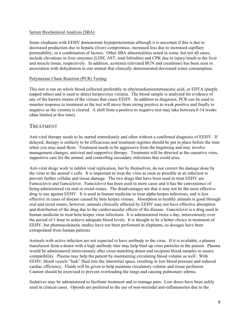#### Serum Biochemical Analysis (SBA)

Some elephants with EEHV demonstrate hypoproteinemia although it is uncertain if this is due to decreased production due to hepatic (liver) compromise, increased loss due to increased capillary permeability, or a combination of factors. Other SBA abnormalities noted in some, but not all cases, include elevations in liver enzymes (LDH, AST, total bilirubin) and CPK due to injury/insult to the liver and muscle tissue, respectively. In addition, azotemia (elevated BUN and creatinine) has been seen in association with dehydration in one animal that clinically demonstrated decreased water consumption.

#### Polymerase Chain Reaction (PCR) Testing

This test is run on whole blood collected preferably in ethylenediaminetetraacetic acid, or EDTA (purple topped tubes) and is used to detect herpesvirus viremia. The blood sample is analyzed for evidence of any of the known strains of the viruses that cause EEHV. In addition to diagnosis, PCR can be used to monitor response to treatment as the test will move from strong positive to weak positive and finally to negative as the viremia is cleared. A shift from a positive to negative test may take between 8-14 weeks (data limited at this time).

#### TREATMENT

Anti-viral therapy needs to be started immediately and often without a confirmed diagnosis of EEHV. If delayed, therapy is unlikely to be efficacious and treatment regimes should be put in place before the time when you may need them. Treatment needs to be aggressive from the beginning and may involve management changes, antiviral and supportive therapy. Treatment will be directed at the causative virus, supportive care for the animal, and controlling secondary infections that could arise.

Anti-viral drugs work to inhibit viral replication, but by themselves, do not correct the damage done by the virus to the animal's cells. It is important to treat the virus as soon as possible in an infection to prevent further cellular and tissue damage. The two drugs that have been used to treat EEHV are Famciclovir and Ganciclovir. Famciclovir has been used in more cases and it has the convenience of being administered via oral or rectal routes. The disadvantages are that it may not be the most effective drug to use against EEHV. It is used in human medicine to treat alpha herpes infections, and is less effective in cases of disease caused by beta herpes viruses. Absorption in healthy animals is good through oral and rectal routes, however, animals clinically affected by EEHV may not have effective absorption and distribution of the drug due to the cardiovascular effects of the disease. Ganciclovir is a drug used in human medicine to treat beta herpes virus infections. It is administered twice a day, intravenously over the period of 1 hour to achieve adequate blood levels. It is thought to be a better choice in treatment of EEHV, but pharmacokinetic studies have not been performed in elephants, so dosages have been extrapolated from human patients.

Animals with active infection are not expected to have antibody to the virus. If it is available, a plasma transfusion from a donor with a high antibody titer may help bind up virus particles in the patient. Plasma would be administered intravenously after cross-matching donor and recipient blood samples to assure compatibility. Plasma may help the patient by maintaining circulating blood volume as well. With EEHV, blood vessels "leak" fluid into the interstitial space, resulting in low blood pressure and reduced cardiac efficiency. Fluids will be given to help maintain circulatory volume and tissue perfusion. Caution should be exercised to prevent overloading the lungs and causing pulmonary edema.

Sedatives may be administered to facilitate treatment and to manage pain. Low doses have been safely used in clinical cases. Opioids are preferred to the use of non-steroidal anti-inflamatories due to the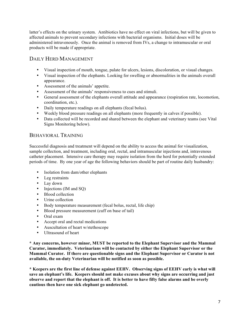latter's effects on the urinary system. Antibiotics have no effect on viral infections, but will be given to affected animals to prevent secondary infections with bacterial organisms. Initial doses will be administered intravenously. Once the animal is removed from IVs, a change to intramuscular or oral products will be made if appropriate.

## DAILY HERD MANAGEMENT

- Visual inspection of mouth, tongue, palate for ulcers, lesions, discoloration, or visual changes.
- Visual inspection of the elephants. Looking for swelling or abnormalities in the animals overall appearance.
- Assessment of the animals' appetite.
- Assessment of the animals' responsiveness to cues and stimuli.
- General assessment of the elephants overall attitude and appearance (respiration rate, locomotion, coordination, etc.).
- Daily temperature readings on all elephants (fecal bolus).
- Weekly blood pressure readings on all elephants (more frequently in calves if possible).
- Data collected will be recorded and shared between the elephant and veterinary teams (see Vital Signs Monitoring below).

#### BEHAVIORAL TRAINING

Successful diagnosis and treatment will depend on the ability to access the animal for visualization, sample collection, and treatment, including oral, rectal, and intramuscular injections and, intravenous catheter placement. Intensive care therapy may require isolation from the herd for potentially extended periods of time. By one year of age the following behaviors should be part of routine daily husbandry:

- Isolation from dam/other elephants
- Leg restraints
- Lay down
- Injections (IM and SQ)
- Blood collection
- Urine collection
- Body temperature measurement (fecal bolus, rectal, life chip)
- Blood pressure measurement (cuff on base of tail)
- Oral exam
- Accept oral and rectal medications
- Auscultation of heart w/stethoscope
- Ultrasound of heart

**\* Any concerns, however minor, MUST be reported to the Elephant Supervisor and the Mammal Curator, immediately. Veterinarians will be contacted by either the Elephant Supervisor or the Mammal Curator. If there are questionable signs and the Elephant Supervisor or Curator is not available, the on-duty Veterinarian will be notified as soon as possible.** 

**\* Keepers are the first line of defense against EEHV. Observing signs of EEHV early is what will save an elephant's life. Keepers should not make excuses about why signs are occurring and just observe and report that the elephant is off. It is better to have fifty false alarms and be overly cautious then have one sick elephant go undetected.**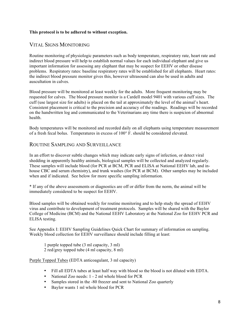#### **This protocol is to be adhered to without exception.**

## VITAL SIGNS MONITORING

Routine monitoring of physiologic parameters such as body temperature, respiratory rate, heart rate and indirect blood pressure will help to establish normal values for each individual elephant and give us important information for assessing any elephant that may be suspect for EEHV or other disease problems. Respiratory rates: baseline respiratory rates will be established for all elephants. Heart rates: the indirect blood pressure monitor gives this, however ultrasound can also be used in adults and auscultation in calves.

Blood pressure will be monitored at least weekly for the adults. More frequent monitoring may be requested for calves. The blood pressure monitor is a Cardell model 9401 with various cuff sizes. The cuff (use largest size for adults) is placed on the tail at approximately the level of the animal's heart. Consistent placement is critical to the precision and accuracy of the readings. Readings will be recorded on the handwritten log and communicated to the Veterinarians any time there is suspicion of abnormal health.

Body temperatures will be monitored and recorded daily on all elephants using temperature measurement of a fresh fecal bolus. Temperatures in excess of 100° F. should be considered elevated.

#### ROUTINE SAMPLING AND SURVEILLANCE

In an effort to discover subtle changes which may indicate early signs of infection, or detect viral shedding in apparently healthy animals, biological samples will be collected and analyzed regularly. These samples will include blood (for PCR at BCM, PCR and ELISA at National EEHV lab, and inhouse CBC and serum chemistry), and trunk washes (for PCR at BCM). Other samples may be included when and if indicated. See below for more specific sampling information.

\* If any of the above assessments or diagnostics are off or differ from the norm, the animal will be immediately considered to be suspect for EEHV.

Blood samples will be obtained weekly for routine monitoring and to help study the spread of EEHV virus and contribute to development of treatment protocols. Samples will be shared with the Baylor College of Medicine (BCM) and the National EEHV Laboratory at the National Zoo for EEHV PCR and ELISA testing.

See Appendix I: EEHV Sampling Guidelines Quick Chart for summary of information on sampling. Weekly blood collection for EEHV surveillance should include filling at least:

1 purple topped tube (3 ml capacity, 3 ml) 2 red/grey topped tube (4 ml capacity, 8 ml)

#### Purple Topped Tubes (EDTA anticoagulant, 3 ml capacity)

- Fill all EDTA tubes at least half way with blood so the blood is not diluted with EDTA.
- National Zoo needs: 1 2 ml whole blood for PCR
- Samples stored in the -80 freezer and sent to National Zoo quarterly
- Baylor wants 1 ml whole blood for PCR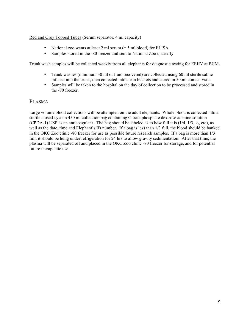#### Red and Grey Topped Tubes (Serum separator, 4 ml capacity)

- National zoo wants at least 2 ml serum (= 5 ml blood) for ELISA
- Samples stored in the -80 freezer and sent to National Zoo quarterly

Trunk wash samples will be collected weekly from all elephants for diagnostic testing for EEHV at BCM.

- Trunk washes (minimum 30 ml of fluid recovered) are collected using 60 ml sterile saline infused into the trunk, then collected into clean buckets and stored in 50 ml conical vials.
- Samples will be taken to the hospital on the day of collection to be processed and stored in the -80 freezer.

## PLASMA

Large volume blood collections will be attempted on the adult elephants. Whole blood is collected into a sterile closed-system 450 ml collection bag containing Citrate phosphate dextrose adenine solution (CPDA-1) USP as an anticoagulant. The bag should be labeled as to how full it is  $(1/4, 1/3, \frac{1}{2}, \text{etc})$ , as well as the date, time and Elephant's ID number. If a bag is less than 1/3 full, the blood should be banked in the OKC Zoo clinic -80 freezer for use as possible future research samples. If a bag is more than 1/3 full, it should be hung under refrigeration for 24 hrs to allow gravity sedimentation. After that time, the plasma will be separated off and placed in the OKC Zoo clinic -80 freezer for storage, and for potential future therapeutic use.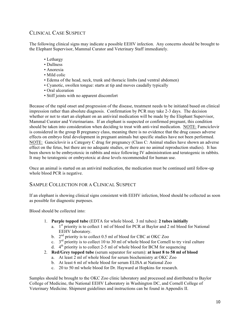## CLINICAL CASE SUSPECT

The following clinical signs may indicate a possible EEHV infection. Any concerns should be brought to the Elephant Supervisor, Mammal Curator and Veterinary Staff immediately.

- Lethargy
- Dullness
- Anorexia
- Mild colic
- Edema of the head, neck, trunk and thoracic limbs (and ventral abdomen)
- Cyanotic, swollen tongue: starts at tip and moves caudally typically
- Oral ulceration
- Stiff joints with no apparent discomfort

Because of the rapid onset and progression of the disease, treatment needs to be initiated based on clinical impression rather than absolute diagnosis. Confirmation by PCR may take 2-3 days. The decision whether or not to start an elephant on an antiviral medication will be made by the Elephant Supervisor, Mammal Curator and Veterinarians. If an elephant is suspected or confirmed pregnant, this condition should be taken into consideration when deciding to treat with anti-viral medication. NOTE: Famciclovir is considered in the group B pregnancy class, meaning there is no evidence that the drug causes adverse effects on embryo fetal development in pregnant animals but specific studies have not been performed. NOTE: Ganciclovir is a Category C drug for pregnancy (Class C: Animal studies have shown an adverse effect on the fetus, but there are no adequate studies, or there are no animal reproduction studies). It has been shown to be embryotoxic in rabbits and mice following IV administration and teratogenic in rabbits. It may be teratogenic or embryotoxic at dose levels recommended for human use.

Once an animal is started on an antiviral medication, the medication must be continued until follow-up whole blood PCR is negative.

#### SAMPLE COLLECTION FOR A CLINICAL SUSPECT

If an elephant is showing clinical signs consistent with EEHV infection, blood should be collected as soon as possible for diagnostic purposes.

Blood should be collected into:

- 1. **Purple topped tube** (EDTA for whole blood, 3 ml tubes): **2 tubes initially**
	- a.  $1<sup>st</sup>$  priority is to collect 1 ml of blood for PCR at Baylor and 2 ml blood for National EEHV laboratory.
	- b.  $2<sup>nd</sup>$  priority is to collect 0.5 ml of blood for CBC at OKC Zoo
	- c.  $3<sup>rd</sup>$  priority is to collect 10 to 30 ml of whole blood for Cornell to try viral culture
	- d.  $4<sup>th</sup>$  priority is to collect 2-5 ml of whole blood for BCM for sequencing
- 2. **Red/Grey topped tube** (serum separator for serum): **at least 8 to 58 ml of blood**
	- a. At least 2 ml of whole blood for serum biochemistry at OKC Zoo
	- b. At least 6 ml of whole blood for serum ELISA at National Zoo
	- c. 20 to 50 ml whole blood for Dr. Hayward at Hopkins for research.

Samples should be brought to the OKC Zoo clinic laboratory and processed and distributed to Baylor College of Medicine, the National EEHV Laboratory in Washington DC, and Cornell College of Veterinary Medicine. Shipment guidelines and instructions can be found in Appendix II.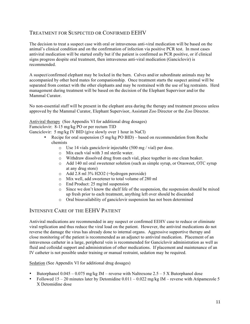## TREATMENT FOR SUSPECTED OR CONFIRMED EEHV

The decision to treat a suspect case with oral or intravenous anti-viral medication will be based on the animal's clinical condition and on the confirmation of infection via positive PCR test. In most cases antiviral medication will be started orally but if the patient is confirmed as PCR positive, or if clinical signs progress despite oral treatment, then intravenous anti-viral medication (Ganciclovir) is recommended.

A suspect/confirmed elephant may be locked in the barn. Calves and/or subordinate animals may be accompanied by other herd mates for companionship. Once treatment starts the suspect animal will be separated from contact with the other elephants and may be restrained with the use of leg restraints. Herd management during treatment will be based on the decision of the Elephant Supervisor and/or the Mammal Curator.

No non-essential staff will be present in the elephant area during the therapy and treatment process unless approved by the Mammal Curator, Elephant Supervisor, Assistant Zoo Director or the Zoo Director.

Antiviral therapy (See Appendix VI for additional drug dosages)

Famciclovir: 8-15 mg/kg PO or per rectum TID

Ganciclovir: 5 mg/kg IV BID (give slowly over 1 hour in NaCl)

- Recipe for oral suspension (5 mg/kg PO BID) based on recommendation from Roche chemists
	- o Use 14 vials ganciclovir injectable (500 mg / vial) per dose.
	- o Mix each vial with 3 ml sterile water.
	- o Withdraw dissolved drug from each vial, place together in one clean beaker.
	- o Add 140 ml oral sweetener solution (such as simple syrup, or Orasweet, OTC syrup at any drug store)
	- o Add 2.8 ml 3% H2O2 (=hydrogen peroxide)
	- o Mix well, add sweetener to total volume of 280 ml
	- o End Product: 25 mg/ml suspension
	- $\circ$  Since we don't know the shelf life of the suspension, the suspension should be mixed up fresh prior to each treatment, anything left over should be discarded
	- o Oral bioavailability of ganciclovir suspension has not been determined

#### INTENSIVE CARE OF THE EEHV PATIENT

Antiviral medications are recommended in any suspect or confirmed EEHV case to reduce or eliminate viral replication and thus reduce the viral load on the patient. However, the antiviral medications do not reverse the damage the virus has already done to internal organs. Aggressive supportive therapy and close monitoring of the patient is recommended as an adjunct to antiviral medication. Placement of an intravenous catheter in a large, peripheral vein is recommended for Ganciclovir administration as well as fluid and colloidal support and administration of other medications. If placement and maintenance of an IV catheter is not possible under training or manual restraint, sedation may be required.

Sedation (See Appendix VI for additional drug dosages)

- Butorphanol  $0.045 0.075$  mg/kg IM reverse with Naltrexone 2.5 5 X Butorphanol dose
- Followed  $15 20$  minutes later by Detomidine  $0.011 0.022$  mg/kg IM reverse with Atipamezole 5 X Detomidine dose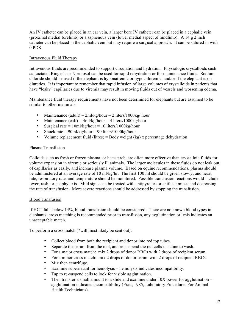An IV catheter can be placed in an ear vein, a larger bore IV catheter can be placed in a cephalic vein (proximal medial forelimb) or a saphenous vein (lower medial aspect of hindlimb). A 14 g 2 inch catheter can be placed in the cephalic vein but may require a surgical approach. It can be sutured in with 0 PDS.

#### Intravenous Fluid Therapy

Intravenous fluids are recommended to support circulation and hydration. Physiologic crystalloids such as Lactated Ringer's or Normosol can be used for rapid rehydration or for maintenance fluids. Sodium chloride should be used if the elephant is hyponatremic or hypochloremic, and/or if the elephant is on diuretics. It is important to remember that rapid infusion of large volumes of crystalloids in patients that have "leaky" capillaries due to viremia may result in moving fluids out of vessels and worsening edema.

Maintenance fluid therapy requirements have not been determined for elephants but are assumed to be similar to other mammals:

- Maintenance (adult) =  $2ml/kg/hour = 2 liters/1000kg/hour$
- Maintenance (calf) =  $4ml/kg/hour = 4 liters/1000kg/hour$
- Surgical rate =  $10 \text{m}$ /kg/hour =  $10 \text{ liters}/1000 \text{kg/h}$ our
- Shock rate =  $90$ ml/kg/hour =  $90$  liters/1000kg/hour
- Volume replacement fluid (litres) = Body weight (kg) x percentage dehydration

#### Plasma Transfusion

Colloids such as fresh or frozen plasma, or hetastarch, are often more effective than crystalloid fluids for volume expansion in viremic or seriously ill animals. The larger molecules in these fluids do not leak out of capillaries as easily, and increase plasma volume. Based on equine recommendations, plasma should be administered at an average rate of 10 ml/kg/hr. The first 100 ml should be given slowly, and heart rate, respiratory rate, and temperature should be monitored. Possible transfusion reactions would include fever, rash, or anaphylaxis. Mild signs can be treated with antipyretics or antihistamines and decreasing the rate of transfusion. More severe reactions should be addressed by stopping the transfusion.

#### Blood Tansfusion

If HCT falls below 14%, blood transfusion should be considered. There are no known blood types in elephants; cross matching is recommended prior to transfusion, any agglutination or lysis indicates an unacceptable match.

To perform a cross match (\*will most likely be sent out):

- Collect blood from both the recipient and donor into red top tubes.
- Separate the serum from the clot, and re-suspend the red cells in saline to wash.
- For a major cross match: mix 2 drops of donor RBCs with 2 drops of recipient serum.
- For a minor cross match: mix 2 drops of donor serum with 2 drops of recipient RBCs.
- Mix then centrifuge.
- Examine supernatant for hemolysis hemolysis indicates incompatibility.
- Tap to re-suspend cells to look for visible agglutination.
- Then transfer a small amount to a slide and examine under  $10X$  power for agglutination agglutination indicates incompatibility (Pratt, 1985, Laboratory Procedures For Animal Health Technicians).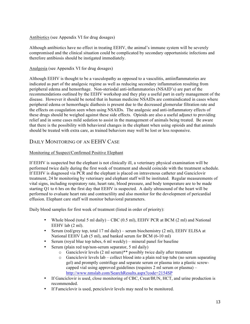#### Antibiotics (see Appendix VI for drug dosages)

Although antibiotics have no effect in treating EEHV, the animal's immune system will be severely compromised and the clinical situation could be complicated by secondary opportunistic infections and therefore antibiosis should be instigated immediately.

#### Analgesia (see Appendix VI for drug dosages)

Although EEHV is thought to be a vasculopathy as opposed to a vasculitis, antiinflammatories are indicated as part of the analgesic regime as well as reducing secondary inflammation resulting from peripheral edema and hemorrhage. Non-steriodal anti-inflammatories (NSAID's) are part of the recommendations outlined by the EEHV workshop and they play a useful part in early management of the disease. However it should be noted that in human medicine NSAIDs are contraindicated in cases where peripheral edema or hemorrhagic diathesis is present due to the decreased glomerular filtration rate and the effects on coagulation seen when using NSAIDs. The analgesic and anti-inflammatory effects of these drugs should be weighed against these side effects. Opioids are also a useful adjunct to providing relief and in some cases mild sedation to assist in the management of animals being treated. Be aware that there is the possibility with behavioral changes in the elephant when using opioids and that animals should be treated with extra care, as trained behaviors may well be lost or less responsive.

## DAILY MONITORING OF AN EEHV CASE

#### Monitoring of Suspect/Confirmed Positive Elephant

If EEHV is suspected but the elephant is not clinically ill, a veterinary physical examination will be performed twice daily during the first week of treatment and should coincide with the treatment schedule. If EEHV is diagnosed via PCR and the elephant is placed on intravenous catheter and Ganciclovir treatment, 24 hr monitoring by veterinary and elephant staff will be instituted. Regular measurements of vital signs, including respiratory rate, heart rate, blood pressure, and body temperature are to be made starting Q1 to 6 hrs on the first day that EEHV is suspected. A daily ultrasound of the heart will be performed to evaluate heart rate and contractility and also monitor for the development of pericardial effusion. Elephant care staff will monitor behavioral parameters.

Daily blood samples for first week of treatment (listed in order of priority):

- Whole blood (total 5 ml daily) CBC  $(0.5 \text{ ml})$ , EEHV PCR at BCM  $(2 \text{ ml})$  and National EEHV lab  $(2 \text{ ml})$ .
- Serum (red/grey top, total 17 ml daily) serum biochemistry  $(2 \text{ ml})$ , EEHV ELISA at National EEHV Lab (5 ml), and banked serum for BCM (6-10 ml)
- Serum (royal blue top tubes, 6 ml weekly) mineral panel for baseline
- Serum (plain red top/non-serum separator, 5 ml daily)
	- o Ganciclovir levels (2 ml serum)\*\* possibly twice daily after treatment
	- $\circ$  Ganciclovir levels lab collect blood into a plain red top tube (no serum separating gel) and promptly centrifuge and separate serum or plasma into a plastic screwcapped vial using approved guidelines (requires 2 ml serum or plasma) – http://www.nmslab.com/SearchResults.aspx?code=2154SP
- If Ganciclovir is used, close monitoring of CBC, Creat/BUN, HCT, and urine production is recommended.
- If Famciclovir is used, penciclovir levels may need to be monitored.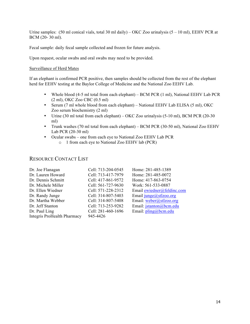Urine samples:  $(50 \text{ ml conical vials, total } 30 \text{ ml daily}) - OKC Zoo urinalysis (5 – 10 ml), EEHV PCR at$ BCM (20- 30 ml).

Fecal sample: daily fecal sample collected and frozen for future analysis.

Upon request, ocular swabs and oral swabs may need to be provided.

#### Surveillance of Herd Mates

If an elephant is confirmed PCR positive, then samples should be collected from the rest of the elephant herd for EEHV testing at the Baylor College of Medicine and the National Zoo EEHV Lab.

- Whole blood (4-5 ml total from each elephant) BCM PCR (1 ml), National EEHV Lab PCR (2 ml), OKC Zoo CBC (0.5 ml)
- Serum (7 ml whole blood from each elephant) National EEHV Lab ELISA (5 ml), OKC Zoo serum biochemistry (2 ml)
- Urine (30 ml total from each elephant) OKC Zoo urinalysis (5-10 ml), BCM PCR (20-30 ml)
- Trunk washes (70 ml total from each elephant) BCM PCR (30-50 ml), National Zoo EEHV Lab PCR (20-30 ml)
- Ocular swabs one from each eye to National Zoo EEHV Lab PCR
	- o 1 from each eye to National Zoo EEHV lab (PCR)

#### RESOURCE CONTACT LIST

| Dr. Joe Flanagan                   | Cell: 713-204-0545 | Home: 281-485-1389                     |
|------------------------------------|--------------------|----------------------------------------|
| Dr. Lauren Howard                  | Cell: 713-417-7979 | Home: 281-485-0072                     |
| Dr. Dennis Schmitt                 | Cell: 417-861-9572 | Home: 417-863-0754                     |
| Dr. Michele Miller                 | Cell: 561-727-9630 | Work: 561-533-0887                     |
| Dr. Ellen Wiedner                  | Cell: 571-228-2312 | Email ewiedner@feldinc.com             |
| Dr. Randy Junge                    | Cell: 314-807-5403 | Email $junge$ (a)stlzoo.org            |
| Dr. Martha Webber                  | Cell: 314-807-5408 | Email: weber@stlzoo.org                |
| Dr. Jeff Stanton                   | Cell: 713-253-9282 | Email: jstanton@bcm.edu                |
| Dr. Paul Ling                      | Cell: 281-460-1696 | Email: $\text{pling}(\hat{a})$ bcm.edu |
| <b>Integris ProHealth Pharmacy</b> | 945-4426           |                                        |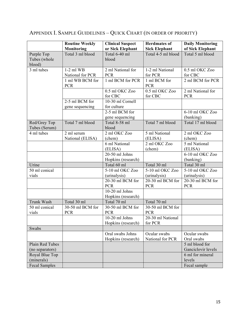|                                      | <b>Routine Weekly</b><br>Monitoring | <b>Clinical Suspect</b><br>or Sick Elephant | <b>Herdmates of</b><br><b>Sick Elephant</b> | <b>Daily Monitoring</b><br>of Sick Elephant |
|--------------------------------------|-------------------------------------|---------------------------------------------|---------------------------------------------|---------------------------------------------|
| Purple Top<br>Tubes (whole<br>blood) | Total 3 ml blood                    | Total 6-40 ml<br>blood                      | Total 4-5 ml blood                          | Total 5 ml blood                            |
| 3 ml tubes                           | $1-2$ ml WB<br>National for PCR     | 2 ml National for<br><b>PCR</b>             | 1-2 ml National<br>for PCR                  | 0.5 ml OKC Zoo<br>for CBC                   |
|                                      | 1 ml WB BCM for<br><b>PCR</b>       | 1 ml BCM for PCR                            | 1 ml BCM for<br><b>PCR</b>                  | 2 ml BCM for PCR                            |
|                                      |                                     | 0.5 ml OKC Zoo<br>for CBC                   | $0.5$ ml OKC Zoo<br>for CBC                 | 2 ml National for<br><b>PCR</b>             |
|                                      | 2-5 ml BCM for<br>gene sequencing   | 10-30 ml Cornell<br>for culture             |                                             |                                             |
|                                      |                                     | 2-5 ml BCM for<br>gene sequencing           |                                             | 6-10 ml OKC Zoo<br>(banking)                |
| Red/Grey Top<br>Tubes (Serum)        | Total 7 ml blood                    | Total 8-58 ml<br>blood                      | Total 7 ml blood                            | Total 17 ml blood                           |
| 4 ml tubes                           | 2 ml serum<br>National (ELISA)      | 2 ml OKC Zoo<br>(chem)                      | 5 ml National<br>(ELISA)                    | 2 ml OKC Zoo<br>(chem)                      |
|                                      |                                     | 6 ml National<br>(ELISA)                    | 2 ml OKC Zoo<br>(chem)                      | 5 ml National<br>(ELISA)                    |
|                                      |                                     | 20-50 ml Johns<br>Hopkins (research)        |                                             | 6-10 ml OKC Zoo<br>(banking)                |
| Urine                                |                                     | Total 60 ml                                 | Total 30 ml                                 | Total 30 ml                                 |
| 50 ml conical                        |                                     | 5-10 ml OKC Zoo                             | 5-10 ml OKC Zoo                             | 5-10 ml OKC Zoo                             |
| vials                                |                                     | (urinalysis)                                | (urinalysis)                                | (urinalysis)                                |
|                                      |                                     | 20-30 ml BCM for<br><b>PCR</b>              | 20-30 ml BCM for<br><b>PCR</b>              | 20-30 ml BCM for<br><b>PCR</b>              |
|                                      |                                     | 10-20 ml Johns<br>Hopkins (research)        |                                             |                                             |
| Trunk Wash                           | Total 30 ml                         | Total 70 ml                                 | Total 70 ml                                 |                                             |
| 50 ml conical<br>vials               | 30-50 ml BCM for<br><b>PCR</b>      | 30-50 ml BCM for<br><b>PCR</b>              | 30-50 ml BCM for<br><b>PCR</b>              |                                             |
|                                      |                                     | $10-20$ ml Johns<br>Hopkins (research)      | 20-30 ml National<br>for PCR                |                                             |
| Swabs                                |                                     |                                             |                                             |                                             |
|                                      |                                     | Oral swabs Johns<br>Hopkins (research)      | Ocular swabs<br>National for PCR            | Ocular swabs<br>Oral swabs                  |
| Plain Red Tubes                      |                                     |                                             |                                             | 5 ml blood for                              |
| (no separators)                      |                                     |                                             |                                             | Ganciclovir levels                          |
| Royal Blue Top                       |                                     |                                             |                                             | 6 ml for mineral                            |
| (minerals)                           |                                     |                                             |                                             | levels                                      |
| <b>Fecal Samples</b>                 |                                     |                                             |                                             | Fecal sample                                |

## APPENDIX I. SAMPLE GUIDELINES – QUICK CHART (IN ORDER OF PRIORITY)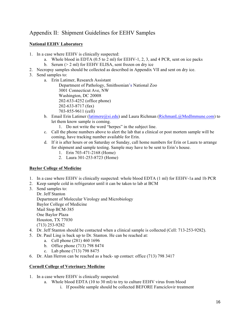## Appendix II: Shipment Guidelines for EEHV Samples

#### **National EEHV Laboratory**

- 1. In a case where EEHV is clinically suspected:
	- a. Whole blood in EDTA (0.5 to 2 ml) for EEHV-1, 2, 3, and 4 PCR, sent on ice packs
		- b. Serum (> 2 ml) for EEHV ELISA, sent frozen on dry ice
- 2. Necropsy samples should be collected as described in Appendix VII and sent on dry ice.
- 3. Send samples to:
	- a. Erin Latimer, Research Assistant
		- Department of Pathology, Smithsonian's National Zoo 3001 Connecticut Ave, NW Washington, DC 20008 202-633-4252 (office phone) 202-633-8717 (fax) 703-855-9611 (cell)
	- b. Email Erin Latimer (latimere@si.edu) and Laura Richman (RichmanL@MedImmune.com) to let them know sample is coming.
		- 1. Do not write the word "herpes" in the subject line.
	- c. Call the phone numbers above to alert the lab that a clinical or post mortem sample will be coming, have tracking number available for Erin.
	- d. If it is after hours or on Saturday or Sunday, call home numbers for Erin or Laura to arrange for shipment and sample testing. Sample may have to be sent to Erin's house.
		- 1. Erin 703-471-2168 (Home)
		- 2. Laura 301-253-8723 (Home)

#### **Baylor College of Medicine**

- 1. In a case where EEHV is clinically suspected: whole blood EDTA (1 ml) for EEHV-1a and 1b PCR
- 2. Keep sample cold in refrigerator until it can be taken to lab at BCM
- 3. Send samples to: Dr. Jeff Stanton Department of Molecular Virology and Microbiology Baylor College of Medicine Mail Stop BCM-385 One Baylor Plaza Houston, TX 77030 (713) 253-9282
- 4. Dr. Jeff Stanton should be contacted when a clinical sample is collected (Cell: 713-253-9282).
- 5. Dr. Paul Ling is back up to Dr. Stanton. He can be reached at:
	- a. Cell phone (281) 460 1696
		- b. Office phone (713) 798 8474
		- c. Lab phone (713) 798 8475
- 6. Dr. Alan Herron can be reached as a back- up contact: office (713) 798 3417

#### **Cornell College of Veterinary Medicine**

- 1. In a case where EEHV is clinically suspected:
	- a. Whole blood EDTA (10 to 30 ml) to try to culture EEHV virus from blood
		- i. If possible sample should be collected BEFORE Famciclovir treatment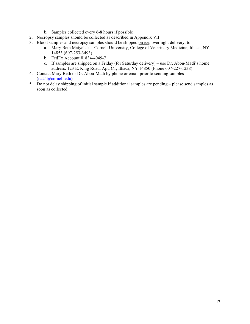- b. Samples collected every 6-8 hours if possible
- 2. Necropsy samples should be collected as described in Appendix VII
- 3. Blood samples and necropsy samples should be shipped on ice, overnight delivery, to:
	- a. Mary Beth Matychak Cornell University, College of Veterinary Medicine, Ithaca, NY 14853 (607-253-3493)
	- b. FedEx Account #1834-4049-7
	- c. If samples are shipped on a Friday (for Saturday delivery) use Dr. Abou-Madi's home address: 123 E. King Road, Apt. C1, Ithaca, NY 14850 (Phone 607-227-1238)
- 4. Contact Mary Beth or Dr. Abou-Madi by phone or email prior to sending samples (na24@cornell.edu)
- 5. Do not delay shipping of initial sample if additional samples are pending please send samples as soon as collected.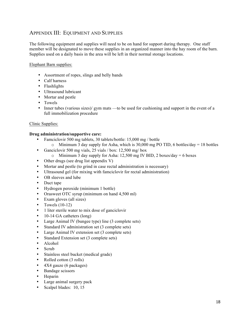## APPENDIX III: EQUIPMENT AND SUPPLIES

The following equipment and supplies will need to be on hand for support during therapy. One staff member will be designated to move these supplies in an organized manner into the hay room of the barn. Supplies used on a daily basis in the area will be left in their normal storage locations.

#### Elephant Barn supplies:

- Assortment of ropes, slings and belly bands
- Calf harness
- Flashlights
- Ultrasound lubricant
- Mortar and pestle
- Towels
- Inner tubes (various sizes)/ gym mats —to be used for cushioning and support in the event of a full immobilization procedure

#### Clinic Supplies:

#### **Drug administration/supportive care:**

- Famciclovir 500 mg tablets, 30 tablets/bottle: 15,000 mg / bottle
	- $\circ$  Minimum 3 day supply for Asha, which is 30,000 mg PO TID, 6 bottles/day = 18 bottles
- Ganciclovir 500 mg vials, 25 vials / box: 12,500 mg/ box
	- o Minimum 3 day supply for Asha: 12,500 mg IV BID, 2 boxes/day = 6 boxes
- Other drugs (see drug list appendix V)
- Mortar and pestle (to grind in case rectal administration is necessary)
- Ultrasound gel (for mixing with famciclovir for rectal administration)
- OB sleeves and lube
- Duct tape
- Hydrogen peroxide (minimum 1 bottle)
- Orasweet OTC syrup (minimum on hand 4,500 ml)
- Exam gloves (all sizes)
- Towels  $(10-12)$
- 1 liter sterile water to mix dose of ganciclovir
- 10-14 GA catheters (long)
- Large Animal IV (bungee type) line (3 complete sets)
- Standard IV administration set (3 complete sets)
- Large Animal IV extension set (3 complete sets)
- Standard Extension set (3 complete sets)
- Alcohol
- Scrub
- Stainless steel bucket (medical grade)
- Rolled cotton (3 rolls)
- 4X4 gauze (6 packages)
- Bandage scissors
- Heparin
- Large animal surgery pack
- Scalpel blades: 10, 15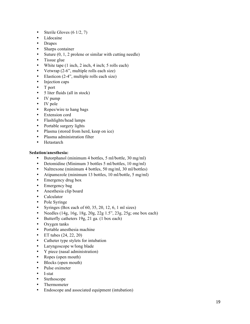- Sterile Gloves  $(6 \frac{1}{2}, 7)$
- Lidocaine
- Drapes
- Sharps container
- Suture  $(0, 1, 2)$  prolene or similar with cutting needle)
- Tissue glue
- White tape (1 inch, 2 inch, 4 inch; 5 rolls each)
- Vetwrap (2-6", multiple rolls each size)
- Elasticon (2-4", multiple rolls each size)
- Injection caps
- T port
- 5 liter fluids (all in stock)
- IV pump
- IV pole
- Ropes/wire to hang bags
- Extension cord
- Flashlights/head lamps
- Portable surgery lights
- Plasma (stored from herd, keep on ice)
- Plasma administration filter
- Hetastarch

#### **Sedation/anesthesia:**

- Butorphanol (minimum 4 bottles, 5 ml/bottle, 30 mg/ml)
- Detomidine (Minimum 3 bottles 5 ml/bottles, 10 mg/ml)
- Naltrexone (minimum 4 bottles, 50 mg/ml, 30 ml/bottles)
- Atipamezole (minimum 13 bottles, 10 ml/bottle, 5 mg/ml)
- Emergency drug box
- Emergency bag
- Anesthesia clip board
- Calculator
- Pole Syringe
- Syringes (Box each of 60, 35, 20, 12, 6, 1 ml sizes)
- Needles  $(14g, 16g, 18g, 20g, 22g, 1.5"$ , 23g, 25g; one box each)
- Butterfly catheters 19g, 21 ga. (1 box each)
- Oxygen tanks
- Portable anesthesia machine
- ET tubes  $(24, 22, 20)$
- Catheter type stylets for intubation
- Laryngoscope w/long blade
- Y piece (nasal administration)
- Ropes (open mouth)
- Blocks (open mouth)
- Pulse oximeter
- I-stat
- Stethoscope
- Thermometer
- Endoscope and associated equipment (intubation)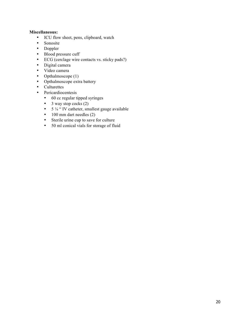#### **Miscellaneous:**

- ICU flow sheet, pens, clipboard, watch
- Sonosite
- Doppler
- Blood pressure cuff
- ECG (cerclage wire contacts vs. sticky pads?)
- Digital camera
- Video camera
- Opthalmoscope (1)
- Opthalmoscope extra battery
- Culturettes
- Pericardiocentesis
	- 60 cc regular tipped syringes
	- 3 way stop cocks  $(2)$
	- $5\frac{1}{4}$  " IV catheter, smallest gauge available
	- 100 mm dart needles (2)
	- Sterile urine cup to save for culture
	- 50 ml conical vials for storage of fluid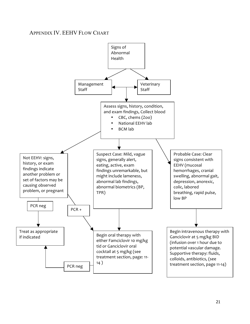## APPENDIX IV. EEHV FLOW CHART

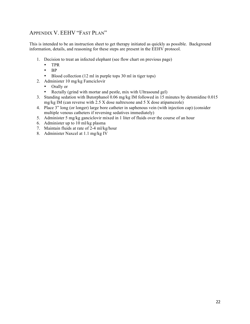## APPENDIX V. EEHV "FAST PLAN"

This is intended to be an instruction sheet to get therapy initiated as quickly as possible. Background information, details, and reasoning for these steps are present in the EEHV protocol.

- 1. Decision to treat an infected elephant (see flow chart on previous page)
	- TPR
	- BP
	- Blood collection (12 ml in purple tops 30 ml in tiger tops)
- 2. Administer 10 mg/kg Famciclovir
	- Orally or
	- Rectally (grind with mortar and pestle, mix with Ultrasound gel)
- 3. Standing sedation with Butorphanol 0.06 mg/kg IM followed in 15 minutes by detomidine 0.015 mg/kg IM (can reverse with 2.5 X dose naltrexone and 5 X dose atipamezole)
- 4. Place 3" long (or longer) large bore catheter in saphenous vein (with injection cap) (consider multiple venous catheters if reversing sedatives immediately)
- 5. Administer 5 mg/kg ganciclovir mixed in 1 liter of fluids over the course of an hour
- 6. Administer up to 10 ml/kg plasma
- 7. Maintain fluids at rate of 2-4 ml/kg/hour
- 8. Administer Naxcel at 1.1 mg/kg IV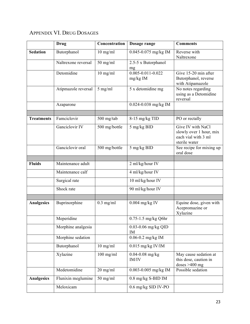## APPENDIX VI. DRUG DOSAGES

|                   | <b>Drug</b>         | Concentration | Dosage range                          | <b>Comments</b>                                                                      |
|-------------------|---------------------|---------------|---------------------------------------|--------------------------------------------------------------------------------------|
| <b>Sedation</b>   | Butorphanol         | $10$ mg/ml    | 0.045-0.075 mg/kg IM                  | Reverse with<br>Naltrexone                                                           |
|                   | Naltrexone reversal | $50$ mg/ml    | 2.5-5 x Butorphanol<br>mg             |                                                                                      |
|                   | Detomidine          | $10$ mg/ml    | $0.005 - 0.011 - 0.022$<br>$mg/kg$ IM | Give 15-20 min after<br>Butorphanol, reverse<br>with Atipamazole                     |
|                   | Atipmazole reversal | 5 mg/ml       | 5 x detomidine mg                     | No notes regarding<br>using as a Detomidine<br>reversal                              |
|                   | Azaparone           |               | 0.024-0.038 mg/kg IM                  |                                                                                      |
| <b>Treatments</b> | Famciclovir         | 500 mg/tab    | 8-15 mg/kg TID                        | PO or rectally                                                                       |
|                   |                     |               |                                       |                                                                                      |
|                   | Ganciclovir IV      | 500 mg/bottle | $5$ mg/kg BID                         | Give IV with NaCl<br>slowly over 1 hour, mix<br>each vial with 3 ml<br>sterile water |
|                   | Ganciclovir oral    | 500 mg/bottle | 5 mg/kg BID                           | See recipe for mixing up<br>oral dose                                                |
|                   |                     |               |                                       |                                                                                      |
| <b>Fluids</b>     | Maintenance adult   |               | 2 ml/kg/hour IV                       |                                                                                      |
|                   | Maintenance calf    |               | 4 ml/kg/hour IV                       |                                                                                      |
|                   | Surgical rate       |               | 10 ml/kg/hour IV                      |                                                                                      |
|                   | Shock rate          |               | 90 ml/kg/hour IV                      |                                                                                      |
|                   |                     |               |                                       |                                                                                      |
| <b>Analgesics</b> | Buprinorphine       | $0.3$ mg/ml   | $0.004$ mg/kg IV                      | Equine dose, given with<br>Acepromazine or<br>Xylazine                               |
|                   | Meperidine          |               | 0.75-1.5 mg/kg Q6hr                   |                                                                                      |
|                   | Morphine analgesia  |               | $0.03 - 0.06$ mg/kg QID<br>IM         |                                                                                      |
|                   | Morphine sedation   |               | $0.06 - 0.2$ mg/kg IM                 |                                                                                      |
|                   | Butorphanol         | $10$ mg/ml    | $0.015$ mg/kg IV/IM                   |                                                                                      |
|                   | Xylazine            | $100$ mg/ml   | $0.04 - 0.08$ mg/kg<br>IM/IV          | May cause sedation at<br>this dose, caution in<br>doses $>400$ mg                    |
|                   | Medetomidine        | $20$ mg/ml    | 0.003-0.005 mg/kg IM                  | Possible sedation                                                                    |
| Analgesics        | Flunixin meglumine  | $50$ mg/ml    | 0.8 mg/kg S-BID IM                    |                                                                                      |
|                   | Meloxicam           |               | 0.6 mg/kg SID IV-PO                   |                                                                                      |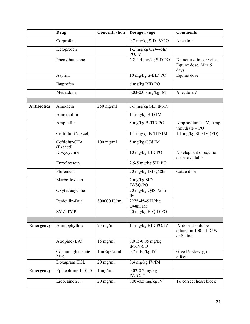|                    | <b>Drug</b>               | Concentration | Dosage range                     | <b>Comments</b>                                         |
|--------------------|---------------------------|---------------|----------------------------------|---------------------------------------------------------|
|                    | Carprofen                 |               | 0.7 mg/kg SID IV/PO              | Anecdotal                                               |
|                    | Ketoprofen                |               | 1-2 mg/kg Q24-48hr<br>PO/IV      |                                                         |
|                    | Phenylbutazone            |               | 2.2-4.4 mg/kg SID PO             | Do not use in ear veins,<br>Equine dose, Max 5<br>days  |
|                    | Aspirin                   |               | 10 mg/kg S-BID PO                | Equine dose                                             |
|                    | Ibuprofen                 |               | 6 mg/kg BID PO                   |                                                         |
|                    | Methadone                 |               | 0.03-0.06 mg/kg IM               | Anecdotal?                                              |
|                    |                           |               |                                  |                                                         |
| <b>Antibiotics</b> | Amikacin                  | $250$ mg/ml   | 3-5 mg/kg SID IM/IV              |                                                         |
|                    | Amoxicillin               |               | 11 mg/kg SID IM                  |                                                         |
|                    | Ampicillin                |               | 8 mg/kg B-TID PO                 | Amp sodium $=$ IV, Amp<br>trihydrate = $PO$             |
|                    | Ceftiofur (Naxcel)        |               | 1.1 mg/kg B-TID IM               | 1.1 mg/kg SID IV (PD)                                   |
|                    | Ceftiofur-CFA<br>(Exceed) | $100$ mg/ml   | 5 mg/kg Q7d IM                   |                                                         |
|                    | Doxycycline               |               | 10 mg/kg BID PO                  | No elephant or equine<br>doses available                |
|                    | Enrofloxacin              |               | 2.5-5 mg/kg SID PO               |                                                         |
|                    | Flofenicol                |               | 20 mg/kg IM Q48hr                | Cattle dose                                             |
|                    | Marbofloxacin             |               | 2 mg/kg SID<br>IV/SQ/PO          |                                                         |
|                    | Oxytetracycline           |               | 20 mg/kg Q48-72 hr<br>IM         |                                                         |
|                    | Penicillin-Dual           | 300000 IU/ml  | 2275-4545 IU/kg<br>Q48hr IM      |                                                         |
|                    | SMZ-TMP                   |               | $20 \ \mathrm{mg/kg}$ B-QID PO   |                                                         |
|                    |                           |               |                                  |                                                         |
| Emergency          | Aminophylline             | $25$ mg/ml    | 11 mg/kg BID PO/IV               | IV dose should be<br>diluted in 100 ml D5W<br>or Saline |
|                    | Atropine (LA)             | $15$ mg/ml    | $0.015 - 0.05$ mg/kg<br>IM/IV/SQ |                                                         |
|                    | Calcium gluconate<br>23%  | 1 mEq Ca/ml   | $0.7$ mEq/kg IV                  | Give IV slowly, to<br>effect                            |
|                    | Doxapram HCL              | $20$ mg/ml    | $0.4$ mg/kg IV/IM                |                                                         |
| Emergency          | Epinephrine 1:1000        | $1$ mg/ml     | $0.02 - 0.2$ mg/kg<br>IV/IC/IT   |                                                         |
|                    | Lidocaine 2%              | $20$ mg/ml    | $0.05 - 0.5$ mg/kg IV            | To correct heart block                                  |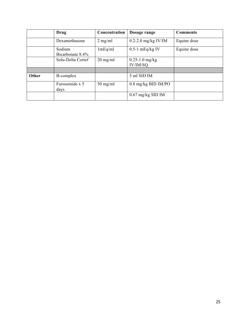|       | Drug                       | Concentration      | Dosage range                   | <b>Comments</b> |
|-------|----------------------------|--------------------|--------------------------------|-----------------|
|       | Dexamethasone              | $2$ mg/ml          | $0.2$ -2.0 mg/kg IV/IM         | Equine dose     |
|       | Sodium<br>Bicarbonate 8.4% | 1mEq/ml            | $0.5-1$ mEq/kg IV              | Equine dose     |
|       | Solu-Delta Cortef          | $20 \text{ mg/ml}$ | $0.25 - 1.0$ mg/kg<br>IV/IM/SQ |                 |
|       |                            |                    |                                |                 |
| Other | B-complex                  |                    | 5 ml SID IM                    |                 |
|       | Furosemide x 5<br>days     | $50$ mg/ml         | $0.8$ mg/kg BID IM/PO          |                 |
|       |                            |                    | $0.67$ mg/kg SID IM            |                 |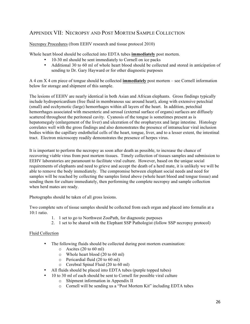## APPENDIX VII: NECROPSY AND POST MORTEM SAMPLE COLLECTION

Necropsy Procedures (from EEHV research and tissue protocol 2010)

Whole heart blood should be collected into EDTA tubes **immediately** post mortem.

- 10-30 ml should be sent immediately to Cornell on ice packs
- Additional 30 to 60 ml of whole heart blood should be collected and stored in anticipation of sending to Dr. Gary Hayward or for other diagnostic purposes

A 4 cm X 4 cm piece of tongue should be collected **immediately** post mortem – see Cornell information below for storage and shipment of this sample.

The lesions of EEHV are nearly identical in both Asian and African elephants. Gross findings typically include hydropericardium (free fluid in membranous sac around heart), along with extensive petechial (small) and ecchymotic (large) hemorrhages within all layers of the heart. In addition, petechial hemorrhages associated with mesenteric and serosal (external surface of organs) surfaces are diffusely scattered throughout the peritoneal cavity. Cyanosis of the tongue is sometimes present as is hepatomegaly (enlargement of the liver) and ulceration of the oropharynx and large intestine. Histology correlates well with the gross findings and also demonstrates the presence of intranuclear viral inclusion bodies within the capillary endothelial cells of the heart, tongue, liver, and to a lesser extent, the intestinal tract. Electron microscopy readily demonstrates the presence of herpes virus.

It is important to perform the necropsy as soon after death as possible, to increase the chance of recovering viable virus from post mortem tissues. Timely collection of tissues samples and submission to EEHV laboratories are paramount to facilitate viral culture. However, based on the unique social requirements of elephants and need to grieve and accept the death of a herd mate, it is unlikely we will be able to remove the body immediately. The compromise between elephant social needs and need for samples will be reached by collecting the samples listed above (whole heart blood and tongue tissue) and sending them for culture immediately, then performing the complete necropsy and sample collection when herd mates are ready.

Photographs should be taken of all gross lesions.

Two complete sets of tissue samples should be collected from each organ and placed into formalin at a 10:1 ratio.

- 1. 1 set to go to Northwest ZooPath, for diagnostic purposes
- 2. 1 set to be shared with the Elephant SSP Pathologist (follow SSP necropsy protocol)

#### Fluid Collection

- The following fluids should be collected during post mortem examination:
	- o Ascites (20 to 60 ml)
	- o Whole heart blood (20 to 60 ml)
	- o Pericardial fluid (20 to 60 ml)
	- o Cerebral Spinal Fluid (20 to 60 ml)
- All fluids should be placed into EDTA tubes (purple topped tubes)
- 10 to 30 ml of each should be sent to Cornell for possible viral culture
	- o Shipment information in Appendix II
	- o Cornell will be sending us a "Post Mortem Kit" including EDTA tubes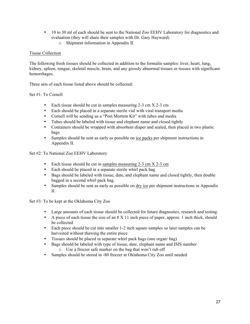- 10 to 30 ml of each should be sent to the National Zoo EEHV Laboratory for diagnostics and evaluation (they will share their samples with Dr. Gary Hayward)
	- o Shipment information in Appendix II

#### Tissue Collection

The following fresh tissues should be collected in addition to the formalin samples: liver, heart, lung, kidney, spleen, tongue, skeletal muscle, brain, and any grossly abnormal tissues or tissues with significant hemorrhages.

Three sets of each tissue listed above should be collected:

#### Set #1: To Cornell

- Each tissue should be cut in samples measuring 2-3 cm X 2-3 cm
- Each should be placed in a separate sterile vial with viral transport media
- Cornell will be sending us a "Post Mortem Kit" with tubes and media
- Tubes should be labeled with tissue and elephant name and closed tightly
- Containers should be wrapped with absorbent diaper and sealed, then placed in two plastic bags
- Samples should be sent as early as possible on ice packs per shipment instructions in Appendix II.
- Set #2: To National Zoo EEHV Laboratory
	- Each tissue should be cut in samples measuring  $2-3$  cm  $X$   $2-3$  cm
	- Each should be placed in a separate sterile whirl pack bag
	- Bags should be labeled with tissue, date, and elephant name and closed tightly, then double bagged in a second whirl pack bag.
	- Samples should be sent as early as possible on dry ice per shipment instructions in Appendix II.

Set #3: To be kept at the Oklahoma City Zoo

- Large amounts of each tissue should be collected for future diagnostics, research and testing.
- A piece of each tissue the size of an  $8 \times 11$  inch piece of paper, approx. 1 inch thick, should be collected
- Each piece should be cut into smaller 1-2 inch square samples so later samples can be harvested without thawing the entire piece
- Tissues should be placed in separate whirl pack bags (one organ/ bag)
- Bags should be labeled with type of tissue, date, elephant name and ISIS number o Use a freezer safe marker on the bag that won't rub off
- Samples should be stored in -80 freezer at Oklahoma City Zoo until needed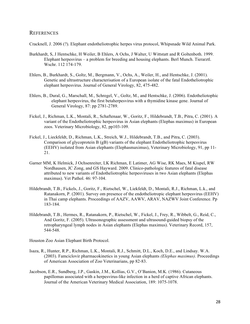#### REFERENCES

Cracknell, J. 2006 (?). Elephant endotheliotrophic herpes virus protocol, Whipsnade Wild Animal Park.

- Burkhardt, S, J Hentschke, H Weiler, B Ehlers, A Ochs, J Walter, U Wittstatt and R Goltenboth. 1999. Elephant herpesvirus – a problem for breeding and housing elephants. Berl Munch. Tierarztl. Wschr. 112 174-179.
- Ehlers, B., Burkhardt, S., Goltz, M., Bergmann, V., Ochs, A., Weiler, H., and Hentschke, J. (2001). Genetic and ultrastructure characterisation of a European isolate of the fatal Endotheliotrophic elephant herpesvirus. Journal of General Virology, 82, 475-482.
- Ehlers, B., Dural, G., Marschall, M., Schregel, V., Goltz, M., and Hentschke, J. (2006). Endotheliotophic elephant herpesvirus, the first betaherpesvirus with a thymidine kinase gene. Journal of General Virology, 87: pp 2781-2789.
- Fickel, J., Richman, L.K., Montali, R., Schaftenaar, W., Goritz, F., Hildebrandt, T.B., Pitra, C. (2001). A variant of the Endotheliotrophic herpesvirus in Asian elephants (Elephas maximus) in European zoos. Veterinary Microbiology, 82, pp103-109.
- Fickel, J., Lieckfeldt, D., Richman, L.K., Streich, W.J., Hildebrandt, T.B., and Pitra, C. (2003). Comparison of glycoprotein B (gB) variants of the elephant Endotheliotrophic herpesvirus (EEHV) isolated from Asian elephants (Elephasmaximus), Veterinary Microbiology, 91, pp 11- 21.
- Garner MM, K Helmick, J Ochsenreiter, LK Richman, E Latimer, AG Wise, RK Maes, M Kiupel, RW Nordhausen, JC Zong, and GS Hayward. 2009. Clinico-pathologic features of fatal disease attributed to new variants of Endotheliotrophic herpesviruses in two Asian elephants (Elephas maximus). Vet Pathol. 46: 97-104.
- Hildebrandt, T.B., Fickels, J., Goritz, F., Rietschel, W., Liekfeldt, D., Montali, R.J., Richman, L.k., and Ratanakorn, P. (2001). Survey om presence of the endotheliotropic elephant herpesvirus (EEHV) in Thai camp elephants. Proceedings of AAZV, AAWV, ARAV, NAZWV Joint Conference. Pp 183-184.
- Hildebrandt, T.B., Hermes, R., Ratanakorn, P., Rietschel, W., Fickel, J., Frey, R., Wibbelt, G., Reid, C., And Goritz, F. (2005). Ultrasonographic assessment and ultrasound-guided biopsy of the retropharyngeal lymph nodes in Asian elephants (Elephas maximus). Veterinary Record, 157, 544-548.

Houston Zoo Asian Elephant Birth Protocol.

- Isaza, R., Hunter, R.P., Richman, L.K., Montali, R.J., Schmitt, D.L., Koch, D.E., and Lindsay. W.A. (2003). Famciclovir pharmacokinetics in young Asian elephants *(Elephas maximus)*. Proceedings of American Association of Zoo Veterinarians, pp 82-83.
- Jacobson, E.R., Sundberg, J.P., Gaskin, J.M., Kollias, G.V., O'Banion, M.K. (1986). Cutaneous papillomas associated with a herpesvirus-like infection in a herd of captive African elephants. Journal of the American Veterinary Medical Association, 189: 1075-1078.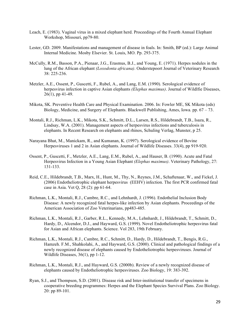- Leach, E. (1983). Vaginal virus in a mixed elephant herd. Proceedings of the Fourth Annual Elephant Workshop, Missouri, pp79-80.
- Lester, GD. 2009. Manifestations and management of disease in foals. In: Smith, BP (ed.): Large Animal Internal Medicine. Mosby Elsevier. St. Louis, MO. Pp. 293-375.
- McCully, R.M., Basson, P.A., Pienaar, J.G., Erasmus, B.J., and Young, E. (1971). Herpes nodules in the lung of the African elephant *(Loxodonta africana)*. Onderstepoort Journal of Veterinary Research 38: 225-236.
- Metzler, A.E., Ossent, P., Guscetti, F., Rubel, A., and Lang, E.M. (1990). Serological evidence of herpesvirus infection in captive Asian elephants *(Elephas maximus)*. Journal of Wildlfie Diseases, 26(1), pp 41-49.
- Mikota, SK. Preventive Health Care and Physical Examination. 2006. In: Fowler ME, SK Mikota (eds) Biology, Medicine, and Surgery of Elephants. Blackwell Publishing, Ames, Iowa. pp. 67 – 73.
- Montali, R.J., Richman, L.K., Mikota, S.K., Schmitt, D.L., Larsen, R.S., Hildebrandt, T.B., Isaza, R., Lindsay, W.A. (2001). Management aspects of herpesvirus infections and tuberculosis in elephants. In Recent Research on elephants and rhinos, Schuling Verlag, Munster, p 25.
- Narayana Bhat, M., Manickam, R., and Kumanan, K. (1997). Serological evidence of Bovine Herpesviruses 1 and 2 in Asian elephants. Journal of Wildlife Diseases. 33(4), pp 919-920.
- Ossent, P., Guscetti, F., Metzler, A.E., Lang, E.M., Rubel, A., and Hauser, B. (1990). Acute and Fatal Herpesvirus Infection in a Young Asian Elephant *(Elephas maximus)*. Veterinary Pathology, 27: 131-133.
- Reid, C.E., Hildebrandt, T.B., Marx, H., Hunt, M., Thy, N., Reynes, J.M., Schaftenaar, W., and Fickel, J. (2006) Endotheliotrophic elephant herpesvirus (EEHV) infection. The first PCR confirmed fatal case in Asia. Vet Q, 28 (2): pp 61-64.
- Richman, L.K., Montali, R.J., Cambre, R.C., and Lehnhardt, J. (1996). Endothelial Inclusion Body Disease: A newly recognized fatal herpes-like infection by Asian elephants. Proceedings of the American Association of Zoo Veterinarians, pp483-485.
- Richman, L.K., Montali, R.J., Garber, R.L., Kennedy, M.A., Lehnhardt, J., Hildebrandt, T., Schmitt, D., Hardy, D., Alcendor, D.J., and Hayward, G.S. (1999). Novel Endotheliotrophic herpesvirus fatal for Asian and African elephants. Science. Vol 283, 19th February.
- Richman, L.K., Montali, R.J., Cambre, R.C., Schmitt, D., Hardy, D., Hildebrandt, T., Bengis, R.G., Hamzeh. F.M., Shahkolahi, A., and Hayward, G.S. (2000). Clinical and pathological findings of a newly recognized disease of elephants caused by Endotheliotrophic herpesviruses. Journal of Wildlife Diseases, 36(1), pp 1-12.
- Richman, L.K., Montali, R.J., and Hayward, G.S. (2000b). Review of a newly recognized disease of elephants caused by Endotheliotrophic herpesviruses. Zoo Biology, 19: 383-392.
- Ryan, S.J., and Thompson, S.D. (2001). Disease risk and Inter-institutional transfer of specimens in cooperative breeding programmes: Herpes and the Elephant Species Survival Plans. Zoo Biology. 20: pp 89-101.